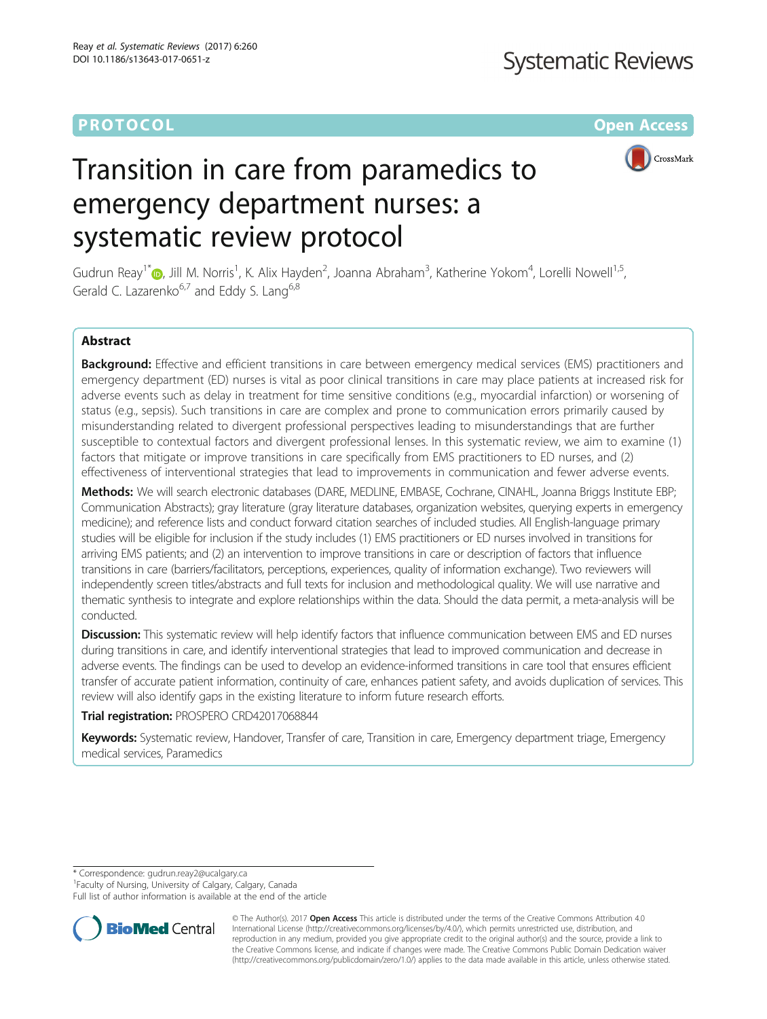# **PROTOCOL CONSUMING THE OPEN ACCESS**



# Transition in care from paramedics to emergency department nurses: a systematic review protocol

Gudrun Reay<sup>1\*</sup> , Jill M. Norris<sup>1</sup>, K. Alix Hayden<sup>2</sup>, Joanna Abraham<sup>3</sup>, Katherine Yokom<sup>4</sup>, Lorelli Nowell<sup>1,5</sup>, Gerald C. Lazarenko<sup>6,7</sup> and Eddy S. Lang<sup>6,8</sup>

### Abstract

Background: Effective and efficient transitions in care between emergency medical services (EMS) practitioners and emergency department (ED) nurses is vital as poor clinical transitions in care may place patients at increased risk for adverse events such as delay in treatment for time sensitive conditions (e.g., myocardial infarction) or worsening of status (e.g., sepsis). Such transitions in care are complex and prone to communication errors primarily caused by misunderstanding related to divergent professional perspectives leading to misunderstandings that are further susceptible to contextual factors and divergent professional lenses. In this systematic review, we aim to examine (1) factors that mitigate or improve transitions in care specifically from EMS practitioners to ED nurses, and (2) effectiveness of interventional strategies that lead to improvements in communication and fewer adverse events.

Methods: We will search electronic databases (DARE, MEDLINE, EMBASE, Cochrane, CINAHL, Joanna Briggs Institute EBP; Communication Abstracts); gray literature (gray literature databases, organization websites, querying experts in emergency medicine); and reference lists and conduct forward citation searches of included studies. All English-language primary studies will be eligible for inclusion if the study includes (1) EMS practitioners or ED nurses involved in transitions for arriving EMS patients; and (2) an intervention to improve transitions in care or description of factors that influence transitions in care (barriers/facilitators, perceptions, experiences, quality of information exchange). Two reviewers will independently screen titles/abstracts and full texts for inclusion and methodological quality. We will use narrative and thematic synthesis to integrate and explore relationships within the data. Should the data permit, a meta-analysis will be conducted.

Discussion: This systematic review will help identify factors that influence communication between EMS and ED nurses during transitions in care, and identify interventional strategies that lead to improved communication and decrease in adverse events. The findings can be used to develop an evidence-informed transitions in care tool that ensures efficient transfer of accurate patient information, continuity of care, enhances patient safety, and avoids duplication of services. This review will also identify gaps in the existing literature to inform future research efforts.

Trial registration: PROSPERO [CRD42017068844](https://www.crd.york.ac.uk/prospero/display_record.php?RecordID=68844)

Keywords: Systematic review, Handover, Transfer of care, Transition in care, Emergency department triage, Emergency medical services, Paramedics

\* Correspondence: [gudrun.reay2@ucalgary.ca](mailto:gudrun.reay2@ucalgary.ca) <sup>1</sup>

Faculty of Nursing, University of Calgary, Calgary, Canada

Full list of author information is available at the end of the article



© The Author(s). 2017 **Open Access** This article is distributed under the terms of the Creative Commons Attribution 4.0 International License [\(http://creativecommons.org/licenses/by/4.0/](http://creativecommons.org/licenses/by/4.0/)), which permits unrestricted use, distribution, and reproduction in any medium, provided you give appropriate credit to the original author(s) and the source, provide a link to the Creative Commons license, and indicate if changes were made. The Creative Commons Public Domain Dedication waiver [\(http://creativecommons.org/publicdomain/zero/1.0/](http://creativecommons.org/publicdomain/zero/1.0/)) applies to the data made available in this article, unless otherwise stated.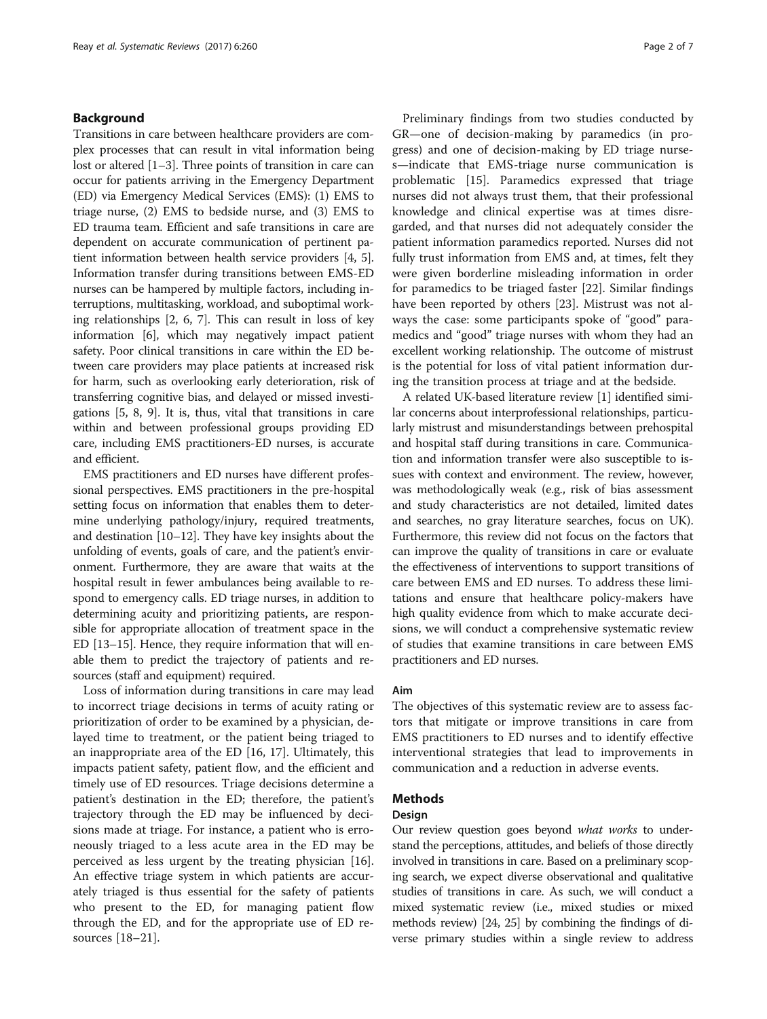#### Background

Transitions in care between healthcare providers are complex processes that can result in vital information being lost or altered [[1](#page-5-0)–[3](#page-5-0)]. Three points of transition in care can occur for patients arriving in the Emergency Department (ED) via Emergency Medical Services (EMS): (1) EMS to triage nurse, (2) EMS to bedside nurse, and (3) EMS to ED trauma team. Efficient and safe transitions in care are dependent on accurate communication of pertinent patient information between health service providers [[4, 5](#page-5-0)]. Information transfer during transitions between EMS-ED nurses can be hampered by multiple factors, including interruptions, multitasking, workload, and suboptimal working relationships [\[2](#page-5-0), [6](#page-5-0), [7](#page-5-0)]. This can result in loss of key information [[6](#page-5-0)], which may negatively impact patient safety. Poor clinical transitions in care within the ED between care providers may place patients at increased risk for harm, such as overlooking early deterioration, risk of transferring cognitive bias, and delayed or missed investigations [\[5](#page-5-0), [8](#page-5-0), [9](#page-5-0)]. It is, thus, vital that transitions in care within and between professional groups providing ED care, including EMS practitioners-ED nurses, is accurate and efficient.

EMS practitioners and ED nurses have different professional perspectives. EMS practitioners in the pre-hospital setting focus on information that enables them to determine underlying pathology/injury, required treatments, and destination [[10](#page-5-0)–[12\]](#page-5-0). They have key insights about the unfolding of events, goals of care, and the patient's environment. Furthermore, they are aware that waits at the hospital result in fewer ambulances being available to respond to emergency calls. ED triage nurses, in addition to determining acuity and prioritizing patients, are responsible for appropriate allocation of treatment space in the ED [\[13](#page-5-0)–[15](#page-5-0)]. Hence, they require information that will enable them to predict the trajectory of patients and resources (staff and equipment) required.

Loss of information during transitions in care may lead to incorrect triage decisions in terms of acuity rating or prioritization of order to be examined by a physician, delayed time to treatment, or the patient being triaged to an inappropriate area of the ED [\[16](#page-6-0), [17](#page-6-0)]. Ultimately, this impacts patient safety, patient flow, and the efficient and timely use of ED resources. Triage decisions determine a patient's destination in the ED; therefore, the patient's trajectory through the ED may be influenced by decisions made at triage. For instance, a patient who is erroneously triaged to a less acute area in the ED may be perceived as less urgent by the treating physician [\[16](#page-6-0)]. An effective triage system in which patients are accurately triaged is thus essential for the safety of patients who present to the ED, for managing patient flow through the ED, and for the appropriate use of ED resources [\[18](#page-6-0)–[21\]](#page-6-0).

Preliminary findings from two studies conducted by GR—one of decision-making by paramedics (in progress) and one of decision-making by ED triage nurses—indicate that EMS-triage nurse communication is problematic [[15\]](#page-5-0). Paramedics expressed that triage nurses did not always trust them, that their professional knowledge and clinical expertise was at times disregarded, and that nurses did not adequately consider the patient information paramedics reported. Nurses did not fully trust information from EMS and, at times, felt they were given borderline misleading information in order for paramedics to be triaged faster [[22\]](#page-6-0). Similar findings have been reported by others [\[23](#page-6-0)]. Mistrust was not always the case: some participants spoke of "good" paramedics and "good" triage nurses with whom they had an excellent working relationship. The outcome of mistrust is the potential for loss of vital patient information during the transition process at triage and at the bedside.

A related UK-based literature review [[1\]](#page-5-0) identified similar concerns about interprofessional relationships, particularly mistrust and misunderstandings between prehospital and hospital staff during transitions in care. Communication and information transfer were also susceptible to issues with context and environment. The review, however, was methodologically weak (e.g., risk of bias assessment and study characteristics are not detailed, limited dates and searches, no gray literature searches, focus on UK). Furthermore, this review did not focus on the factors that can improve the quality of transitions in care or evaluate the effectiveness of interventions to support transitions of care between EMS and ED nurses. To address these limitations and ensure that healthcare policy-makers have high quality evidence from which to make accurate decisions, we will conduct a comprehensive systematic review of studies that examine transitions in care between EMS practitioners and ED nurses.

#### Aim

The objectives of this systematic review are to assess factors that mitigate or improve transitions in care from EMS practitioners to ED nurses and to identify effective interventional strategies that lead to improvements in communication and a reduction in adverse events.

#### Methods

#### Design

Our review question goes beyond *what works* to understand the perceptions, attitudes, and beliefs of those directly involved in transitions in care. Based on a preliminary scoping search, we expect diverse observational and qualitative studies of transitions in care. As such, we will conduct a mixed systematic review (i.e., mixed studies or mixed methods review) [\[24](#page-6-0), [25](#page-6-0)] by combining the findings of diverse primary studies within a single review to address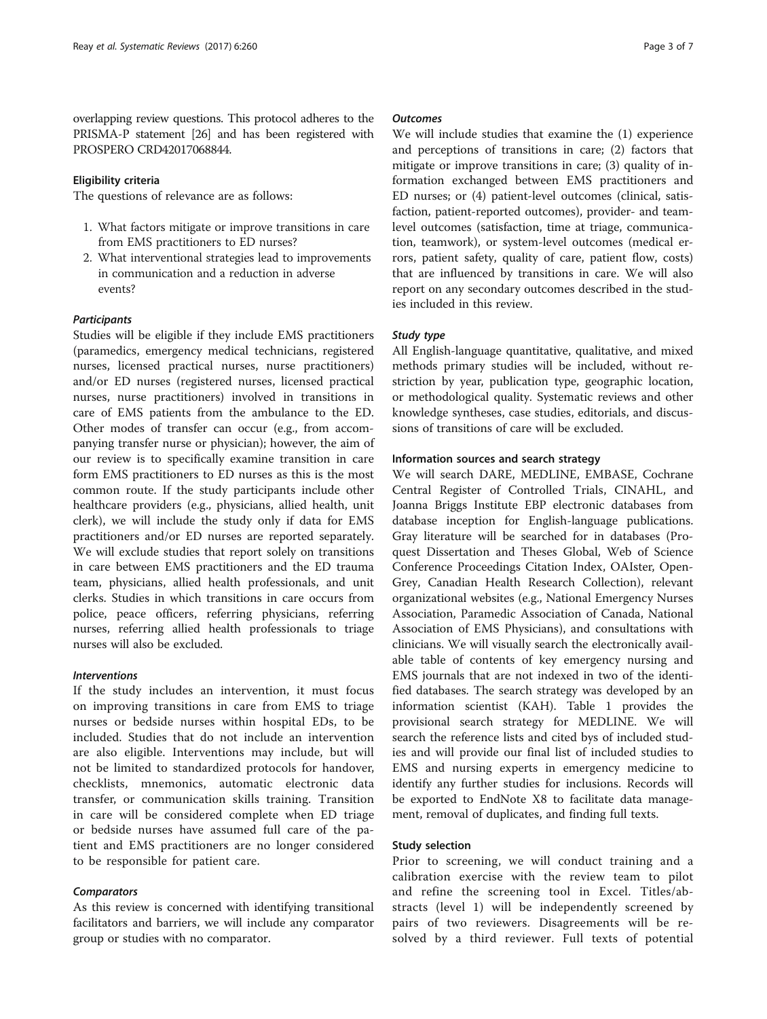overlapping review questions. This protocol adheres to the PRISMA-P statement [[26](#page-6-0)] and has been registered with PROSPERO CRD42017068844.

#### Eligibility criteria

The questions of relevance are as follows:

- 1. What factors mitigate or improve transitions in care from EMS practitioners to ED nurses?
- 2. What interventional strategies lead to improvements in communication and a reduction in adverse events?

#### **Participants**

Studies will be eligible if they include EMS practitioners (paramedics, emergency medical technicians, registered nurses, licensed practical nurses, nurse practitioners) and/or ED nurses (registered nurses, licensed practical nurses, nurse practitioners) involved in transitions in care of EMS patients from the ambulance to the ED. Other modes of transfer can occur (e.g., from accompanying transfer nurse or physician); however, the aim of our review is to specifically examine transition in care form EMS practitioners to ED nurses as this is the most common route. If the study participants include other healthcare providers (e.g., physicians, allied health, unit clerk), we will include the study only if data for EMS practitioners and/or ED nurses are reported separately. We will exclude studies that report solely on transitions in care between EMS practitioners and the ED trauma team, physicians, allied health professionals, and unit clerks. Studies in which transitions in care occurs from police, peace officers, referring physicians, referring nurses, referring allied health professionals to triage nurses will also be excluded.

#### Interventions

If the study includes an intervention, it must focus on improving transitions in care from EMS to triage nurses or bedside nurses within hospital EDs, to be included. Studies that do not include an intervention are also eligible. Interventions may include, but will not be limited to standardized protocols for handover, checklists, mnemonics, automatic electronic data transfer, or communication skills training. Transition in care will be considered complete when ED triage or bedside nurses have assumed full care of the patient and EMS practitioners are no longer considered to be responsible for patient care.

#### **Comparators**

As this review is concerned with identifying transitional facilitators and barriers, we will include any comparator group or studies with no comparator.

#### **Outcomes**

We will include studies that examine the (1) experience and perceptions of transitions in care; (2) factors that mitigate or improve transitions in care; (3) quality of information exchanged between EMS practitioners and ED nurses; or (4) patient-level outcomes (clinical, satisfaction, patient-reported outcomes), provider- and teamlevel outcomes (satisfaction, time at triage, communication, teamwork), or system-level outcomes (medical errors, patient safety, quality of care, patient flow, costs) that are influenced by transitions in care. We will also report on any secondary outcomes described in the studies included in this review.

#### Study type

All English-language quantitative, qualitative, and mixed methods primary studies will be included, without restriction by year, publication type, geographic location, or methodological quality. Systematic reviews and other knowledge syntheses, case studies, editorials, and discussions of transitions of care will be excluded.

#### Information sources and search strategy

We will search DARE, MEDLINE, EMBASE, Cochrane Central Register of Controlled Trials, CINAHL, and Joanna Briggs Institute EBP electronic databases from database inception for English-language publications. Gray literature will be searched for in databases (Proquest Dissertation and Theses Global, Web of Science Conference Proceedings Citation Index, OAIster, Open-Grey, Canadian Health Research Collection), relevant organizational websites (e.g., National Emergency Nurses Association, Paramedic Association of Canada, National Association of EMS Physicians), and consultations with clinicians. We will visually search the electronically available table of contents of key emergency nursing and EMS journals that are not indexed in two of the identified databases. The search strategy was developed by an information scientist (KAH). Table [1](#page-3-0) provides the provisional search strategy for MEDLINE. We will search the reference lists and cited bys of included studies and will provide our final list of included studies to EMS and nursing experts in emergency medicine to identify any further studies for inclusions. Records will be exported to EndNote X8 to facilitate data management, removal of duplicates, and finding full texts.

#### Study selection

Prior to screening, we will conduct training and a calibration exercise with the review team to pilot and refine the screening tool in Excel. Titles/abstracts (level 1) will be independently screened by pairs of two reviewers. Disagreements will be resolved by a third reviewer. Full texts of potential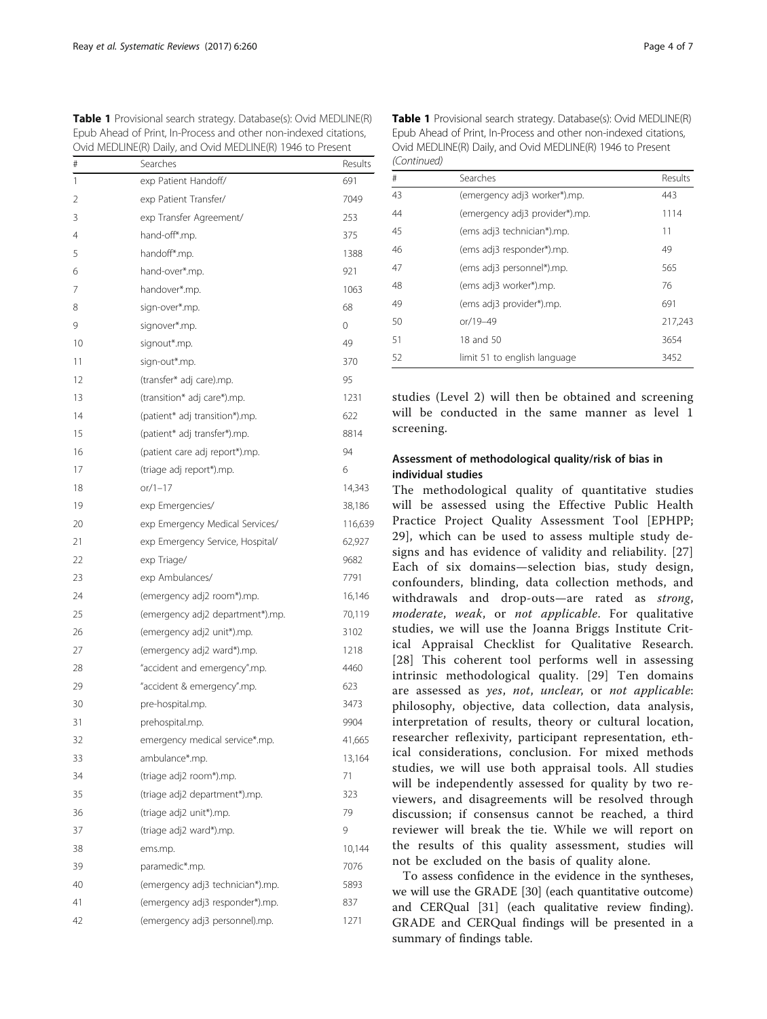<span id="page-3-0"></span>Table 1 Provisional search strategy. Database(s): Ovid MEDLINE(R) Epub Ahead of Print, In-Process and other non-indexed citations, Ovid MEDLINE(R) Daily, and Ovid MEDLINE(R) 1946 to Present

| #  | Searches                         | Results |
|----|----------------------------------|---------|
| 1  | exp Patient Handoff/             | 691     |
| 2  | exp Patient Transfer/            | 7049    |
| 3  | exp Transfer Agreement/          | 253     |
| 4  | hand-off*.mp.                    | 375     |
| 5  | handoff*.mp.                     | 1388    |
| 6  | hand-over*.mp.                   | 921     |
| 7  | handover*.mp.                    | 1063    |
| 8  | sign-over*.mp.                   | 68      |
| 9  | signover*.mp.                    | 0       |
| 10 | signout*.mp.                     | 49      |
| 11 | sign-out*.mp.                    | 370     |
| 12 | (transfer* adj care).mp.         | 95      |
| 13 | (transition* adj care*).mp.      | 1231    |
| 14 | (patient* adj transition*).mp.   | 622     |
| 15 | (patient* adj transfer*).mp.     | 8814    |
| 16 | (patient care adj report*).mp.   | 94      |
| 17 | (triage adj report*).mp.         | 6       |
| 18 | $or/1 - 17$                      | 14,343  |
| 19 | exp Emergencies/                 | 38,186  |
| 20 | exp Emergency Medical Services/  | 116,639 |
| 21 | exp Emergency Service, Hospital/ | 62,927  |
| 22 | exp Triage/                      | 9682    |
| 23 | exp Ambulances/                  | 7791    |
| 24 | (emergency adj2 room*).mp.       | 16,146  |
| 25 | (emergency adj2 department*).mp. | 70,119  |
| 26 | (emergency adj2 unit*).mp.       | 3102    |
| 27 | (emergency adj2 ward*).mp.       | 1218    |
| 28 | "accident and emergency".mp.     | 4460    |
| 29 | "accident & emergency".mp.       | 623     |
| 30 | pre-hospital.mp.                 | 3473    |
| 31 | prehospital.mp.                  | 9904    |
| 32 | emergency medical service*.mp.   | 41,665  |
| 33 | ambulance*.mp.                   | 13,164  |
| 34 | (triage adj2 room*).mp.          | 71      |
| 35 | (triage adj2 department*).mp.    | 323     |
| 36 | (triage adj2 unit*).mp.          | 79      |
| 37 | (triage adj2 ward*).mp.          | 9       |
| 38 | ems.mp.                          | 10,144  |
| 39 | paramedic*.mp.                   | 7076    |
| 40 | (emergency adj3 technician*).mp. | 5893    |
| 41 | (emergency adj3 responder*).mp.  | 837     |
| 42 | (emergency adj3 personnel).mp.   | 1271    |

Table 1 Provisional search strategy. Database(s): Ovid MEDLINE(R) Epub Ahead of Print, In-Process and other non-indexed citations, Ovid MEDLINE(R) Daily, and Ovid MEDLINE(R) 1946 to Present (Continued)

| #  | Searches                       | Results |
|----|--------------------------------|---------|
| 43 | (emergency adj3 worker*).mp.   | 443     |
| 44 | (emergency adj3 provider*).mp. | 1114    |
| 45 | (ems adj3 technician*).mp.     | 11      |
| 46 | (ems adj3 responder*).mp.      | 49      |
| 47 | (ems adj3 personnel*).mp.      | 565     |
| 48 | (ems adj3 worker*).mp.         | 76      |
| 49 | (ems adj3 provider*).mp.       | 691     |
| 50 | or/19-49                       | 217,243 |
| 51 | 18 and 50                      | 3654    |
| 52 | limit 51 to english language   | 3452    |

studies (Level 2) will then be obtained and screening will be conducted in the same manner as level 1 screening.

#### Assessment of methodological quality/risk of bias in individual studies

The methodological quality of quantitative studies will be assessed using the Effective Public Health Practice Project Quality Assessment Tool [EPHPP; 29], which can be used to assess multiple study designs and has evidence of validity and reliability. [\[27](#page-6-0)] Each of six domains—selection bias, study design, confounders, blinding, data collection methods, and withdrawals and drop-outs—are rated as strong, moderate, weak, or not applicable. For qualitative studies, we will use the Joanna Briggs Institute Critical Appraisal Checklist for Qualitative Research. [[28](#page-6-0)] This coherent tool performs well in assessing intrinsic methodological quality. [\[29\]](#page-6-0) Ten domains are assessed as yes, not, unclear, or not applicable: philosophy, objective, data collection, data analysis, interpretation of results, theory or cultural location, researcher reflexivity, participant representation, ethical considerations, conclusion. For mixed methods studies, we will use both appraisal tools. All studies will be independently assessed for quality by two reviewers, and disagreements will be resolved through discussion; if consensus cannot be reached, a third reviewer will break the tie. While we will report on the results of this quality assessment, studies will not be excluded on the basis of quality alone.

To assess confidence in the evidence in the syntheses, we will use the GRADE [[30\]](#page-6-0) (each quantitative outcome) and CERQual [\[31](#page-6-0)] (each qualitative review finding). GRADE and CERQual findings will be presented in a summary of findings table.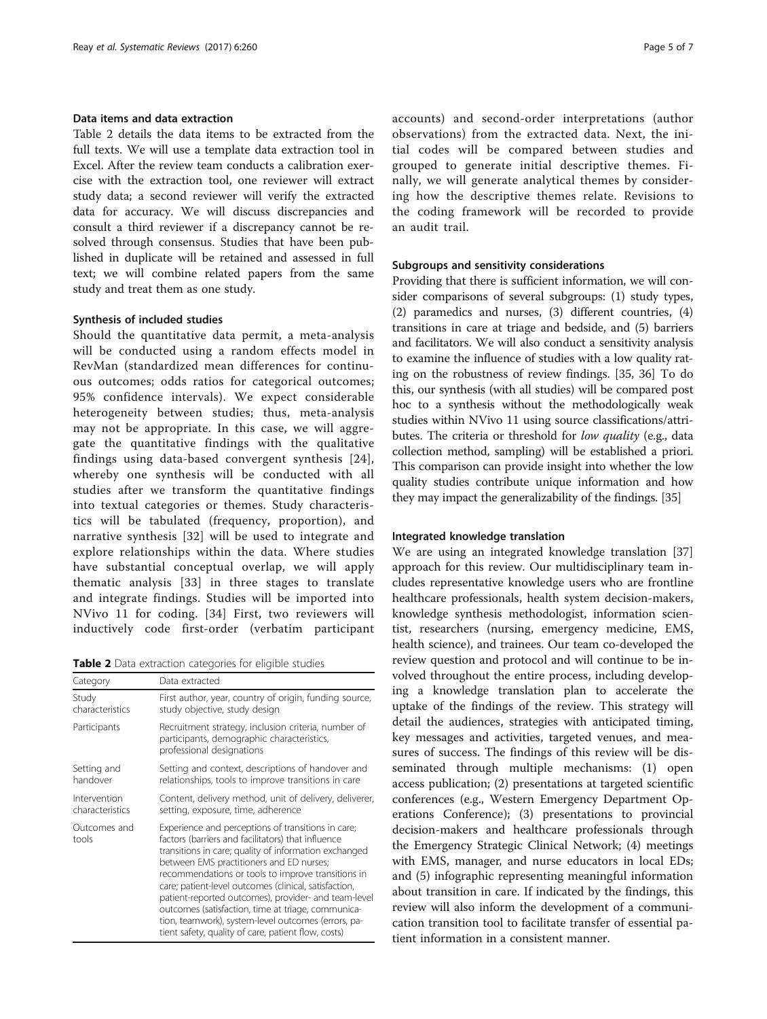#### Data items and data extraction

Table 2 details the data items to be extracted from the full texts. We will use a template data extraction tool in Excel. After the review team conducts a calibration exercise with the extraction tool, one reviewer will extract study data; a second reviewer will verify the extracted data for accuracy. We will discuss discrepancies and consult a third reviewer if a discrepancy cannot be resolved through consensus. Studies that have been published in duplicate will be retained and assessed in full text; we will combine related papers from the same study and treat them as one study.

#### Synthesis of included studies

Should the quantitative data permit, a meta-analysis will be conducted using a random effects model in RevMan (standardized mean differences for continuous outcomes; odds ratios for categorical outcomes; 95% confidence intervals). We expect considerable heterogeneity between studies; thus, meta-analysis may not be appropriate. In this case, we will aggregate the quantitative findings with the qualitative findings using data-based convergent synthesis [[24](#page-6-0)], whereby one synthesis will be conducted with all studies after we transform the quantitative findings into textual categories or themes. Study characteristics will be tabulated (frequency, proportion), and narrative synthesis [[32](#page-6-0)] will be used to integrate and explore relationships within the data. Where studies have substantial conceptual overlap, we will apply thematic analysis [\[33\]](#page-6-0) in three stages to translate and integrate findings. Studies will be imported into NVivo 11 for coding. [[34\]](#page-6-0) First, two reviewers will inductively code first-order (verbatim participant

**Table 2** Data extraction categories for eligible studies

| Category              | Data extracted                                                                                                                                                                                                                                                                                                                                                                                                                                                                                                                                           |
|-----------------------|----------------------------------------------------------------------------------------------------------------------------------------------------------------------------------------------------------------------------------------------------------------------------------------------------------------------------------------------------------------------------------------------------------------------------------------------------------------------------------------------------------------------------------------------------------|
| Study                 | First author, year, country of origin, funding source,                                                                                                                                                                                                                                                                                                                                                                                                                                                                                                   |
| characteristics       | study objective, study design                                                                                                                                                                                                                                                                                                                                                                                                                                                                                                                            |
| Participants          | Recruitment strategy, inclusion criteria, number of<br>participants, demographic characteristics,<br>professional designations                                                                                                                                                                                                                                                                                                                                                                                                                           |
| Setting and           | Setting and context, descriptions of handover and                                                                                                                                                                                                                                                                                                                                                                                                                                                                                                        |
| handover              | relationships, tools to improve transitions in care                                                                                                                                                                                                                                                                                                                                                                                                                                                                                                      |
| Intervention          | Content, delivery method, unit of delivery, deliverer,                                                                                                                                                                                                                                                                                                                                                                                                                                                                                                   |
| characteristics       | setting, exposure, time, adherence                                                                                                                                                                                                                                                                                                                                                                                                                                                                                                                       |
| Outcomes and<br>tools | Experience and perceptions of transitions in care;<br>factors (barriers and facilitators) that influence<br>transitions in care; quality of information exchanged<br>between EMS practitioners and ED nurses;<br>recommendations or tools to improve transitions in<br>care; patient-level outcomes (clinical, satisfaction,<br>patient-reported outcomes), provider- and team-level<br>outcomes (satisfaction, time at triage, communica-<br>tion, teamwork), system-level outcomes (errors, pa-<br>tient safety, quality of care, patient flow, costs) |

accounts) and second-order interpretations (author observations) from the extracted data. Next, the initial codes will be compared between studies and grouped to generate initial descriptive themes. Finally, we will generate analytical themes by considering how the descriptive themes relate. Revisions to the coding framework will be recorded to provide an audit trail.

#### Subgroups and sensitivity considerations

Providing that there is sufficient information, we will consider comparisons of several subgroups: (1) study types, (2) paramedics and nurses, (3) different countries, (4) transitions in care at triage and bedside, and (5) barriers and facilitators. We will also conduct a sensitivity analysis to examine the influence of studies with a low quality rating on the robustness of review findings. [[35](#page-6-0), [36\]](#page-6-0) To do this, our synthesis (with all studies) will be compared post hoc to a synthesis without the methodologically weak studies within NVivo 11 using source classifications/attributes. The criteria or threshold for low quality (e.g., data collection method, sampling) will be established a priori. This comparison can provide insight into whether the low quality studies contribute unique information and how they may impact the generalizability of the findings. [[35](#page-6-0)]

#### Integrated knowledge translation

We are using an integrated knowledge translation [[37](#page-6-0)] approach for this review. Our multidisciplinary team includes representative knowledge users who are frontline healthcare professionals, health system decision-makers, knowledge synthesis methodologist, information scientist, researchers (nursing, emergency medicine, EMS, health science), and trainees. Our team co-developed the review question and protocol and will continue to be involved throughout the entire process, including developing a knowledge translation plan to accelerate the uptake of the findings of the review. This strategy will detail the audiences, strategies with anticipated timing, key messages and activities, targeted venues, and measures of success. The findings of this review will be disseminated through multiple mechanisms: (1) open access publication; (2) presentations at targeted scientific conferences (e.g., Western Emergency Department Operations Conference); (3) presentations to provincial decision-makers and healthcare professionals through the Emergency Strategic Clinical Network; (4) meetings with EMS, manager, and nurse educators in local EDs; and (5) infographic representing meaningful information about transition in care. If indicated by the findings, this review will also inform the development of a communication transition tool to facilitate transfer of essential patient information in a consistent manner.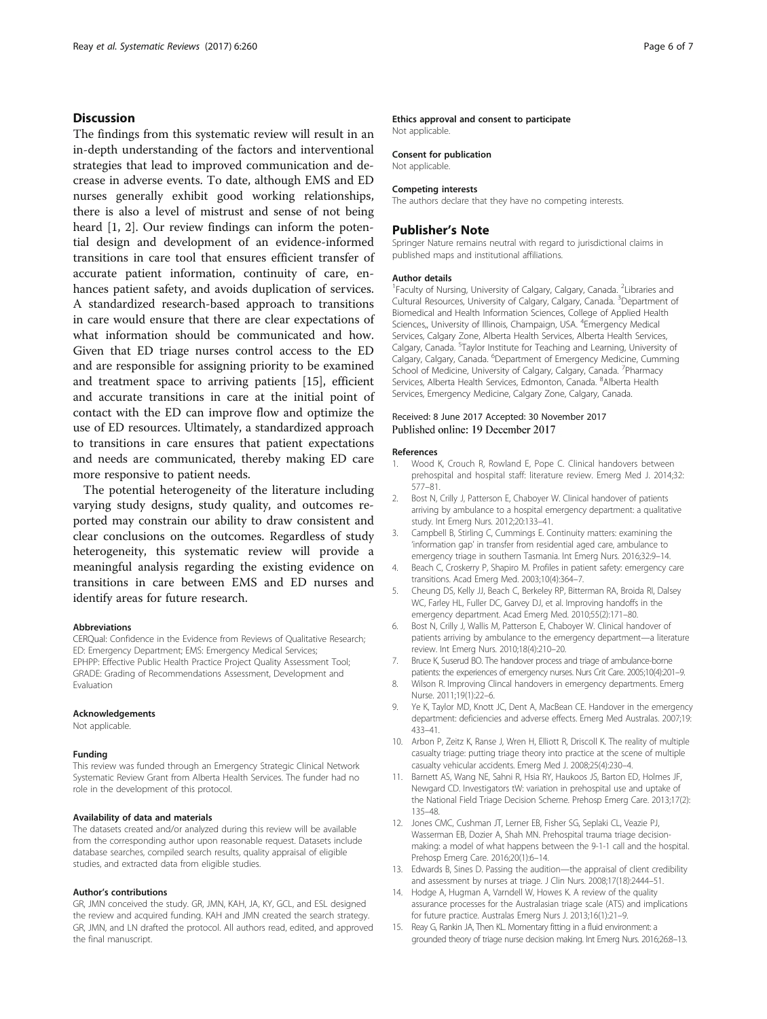#### <span id="page-5-0"></span>**Discussion**

The findings from this systematic review will result in an in-depth understanding of the factors and interventional strategies that lead to improved communication and decrease in adverse events. To date, although EMS and ED nurses generally exhibit good working relationships, there is also a level of mistrust and sense of not being heard [1, 2]. Our review findings can inform the potential design and development of an evidence-informed transitions in care tool that ensures efficient transfer of accurate patient information, continuity of care, enhances patient safety, and avoids duplication of services. A standardized research-based approach to transitions in care would ensure that there are clear expectations of what information should be communicated and how. Given that ED triage nurses control access to the ED and are responsible for assigning priority to be examined and treatment space to arriving patients [15], efficient and accurate transitions in care at the initial point of contact with the ED can improve flow and optimize the use of ED resources. Ultimately, a standardized approach to transitions in care ensures that patient expectations and needs are communicated, thereby making ED care more responsive to patient needs.

The potential heterogeneity of the literature including varying study designs, study quality, and outcomes reported may constrain our ability to draw consistent and clear conclusions on the outcomes. Regardless of study heterogeneity, this systematic review will provide a meaningful analysis regarding the existing evidence on transitions in care between EMS and ED nurses and identify areas for future research.

#### Abbreviations

CERQual: Confidence in the Evidence from Reviews of Qualitative Research; ED: Emergency Department; EMS: Emergency Medical Services; EPHPP: Effective Public Health Practice Project Quality Assessment Tool; GRADE: Grading of Recommendations Assessment, Development and Evaluation

#### Acknowledgements

Not applicable.

#### Funding

This review was funded through an Emergency Strategic Clinical Network Systematic Review Grant from Alberta Health Services. The funder had no role in the development of this protocol.

#### Availability of data and materials

The datasets created and/or analyzed during this review will be available from the corresponding author upon reasonable request. Datasets include database searches, compiled search results, quality appraisal of eligible studies, and extracted data from eligible studies.

#### Author's contributions

GR, JMN conceived the study. GR, JMN, KAH, JA, KY, GCL, and ESL designed the review and acquired funding. KAH and JMN created the search strategy. GR, JMN, and LN drafted the protocol. All authors read, edited, and approved the final manuscript.

#### Ethics approval and consent to participate

Not applicable.

#### Consent for publication

Not applicable.

#### Competing interests

The authors declare that they have no competing interests.

#### Publisher's Note

Springer Nature remains neutral with regard to jurisdictional claims in published maps and institutional affiliations.

#### Author details

<sup>1</sup> Faculty of Nursing, University of Calgary, Calgary, Canada. <sup>2</sup> Libraries and Cultural Resources, University of Calgary, Calgary, Canada. <sup>3</sup>Department of Biomedical and Health Information Sciences, College of Applied Health Sciences,, University of Illinois, Champaign, USA. <sup>4</sup>Emergency Medical Services, Calgary Zone, Alberta Health Services, Alberta Health Services, Calgary, Canada. <sup>5</sup>Taylor Institute for Teaching and Learning, University of Calgary, Calgary, Canada. <sup>6</sup>Department of Emergency Medicine, Cumming School of Medicine, University of Calgary, Calgary, Canada. <sup>7</sup>Pharmacy Services, Alberta Health Services, Edmonton, Canada. <sup>8</sup>Alberta Health Services, Emergency Medicine, Calgary Zone, Calgary, Canada.

# Received: 8 June 2017 Accepted: 30 November 2017<br>Published online: 19 December 2017

#### References

- 1. Wood K, Crouch R, Rowland E, Pope C. Clinical handovers between prehospital and hospital staff: literature review. Emerg Med J. 2014;32: 577–81.
- 2. Bost N, Crilly J, Patterson E, Chaboyer W. Clinical handover of patients arriving by ambulance to a hospital emergency department: a qualitative study. Int Emerg Nurs. 2012;20:133–41.
- Campbell B, Stirling C, Cummings E. Continuity matters: examining the 'information gap' in transfer from residential aged care, ambulance to emergency triage in southern Tasmania. Int Emerg Nurs. 2016;32:9–14.
- 4. Beach C, Croskerry P, Shapiro M. Profiles in patient safety: emergency care transitions. Acad Emerg Med. 2003;10(4):364–7.
- 5. Cheung DS, Kelly JJ, Beach C, Berkeley RP, Bitterman RA, Broida RI, Dalsey WC, Farley HL, Fuller DC, Garvey DJ, et al. Improving handoffs in the emergency department. Acad Emerg Med. 2010;55(2):171–80.
- 6. Bost N, Crilly J, Wallis M, Patterson E, Chaboyer W. Clinical handover of patients arriving by ambulance to the emergency department—a literature review. Int Emerg Nurs. 2010;18(4):210–20.
- 7. Bruce K, Suserud BO. The handover process and triage of ambulance-borne patients: the experiences of emergency nurses. Nurs Crit Care. 2005;10(4):201–9.
- 8. Wilson R. Improving Clincal handovers in emergency departments. Emerg Nurse. 2011;19(1):22–6.
- 9. Ye K, Taylor MD, Knott JC, Dent A, MacBean CE. Handover in the emergency department: deficiencies and adverse effects. Emerg Med Australas. 2007;19: 433–41.
- 10. Arbon P, Zeitz K, Ranse J, Wren H, Elliott R, Driscoll K. The reality of multiple casualty triage: putting triage theory into practice at the scene of multiple casualty vehicular accidents. Emerg Med J. 2008;25(4):230–4.
- 11. Barnett AS, Wang NE, Sahni R, Hsia RY, Haukoos JS, Barton ED, Holmes JF, Newgard CD. Investigators tW: variation in prehospital use and uptake of the National Field Triage Decision Scheme. Prehosp Emerg Care. 2013;17(2): 135–48.
- 12. Jones CMC, Cushman JT, Lerner EB, Fisher SG, Seplaki CL, Veazie PJ, Wasserman EB, Dozier A, Shah MN. Prehospital trauma triage decisionmaking: a model of what happens between the 9-1-1 call and the hospital. Prehosp Emerg Care. 2016;20(1):6–14.
- 13. Edwards B, Sines D. Passing the audition—the appraisal of client credibility and assessment by nurses at triage. J Clin Nurs. 2008;17(18):2444–51.
- 14. Hodge A, Hugman A, Varndell W, Howes K. A review of the quality assurance processes for the Australasian triage scale (ATS) and implications for future practice. Australas Emerg Nurs J. 2013;16(1):21–9.
- 15. Reay G, Rankin JA, Then KL. Momentary fitting in a fluid environment: a grounded theory of triage nurse decision making. Int Emerg Nurs. 2016;26:8–13.